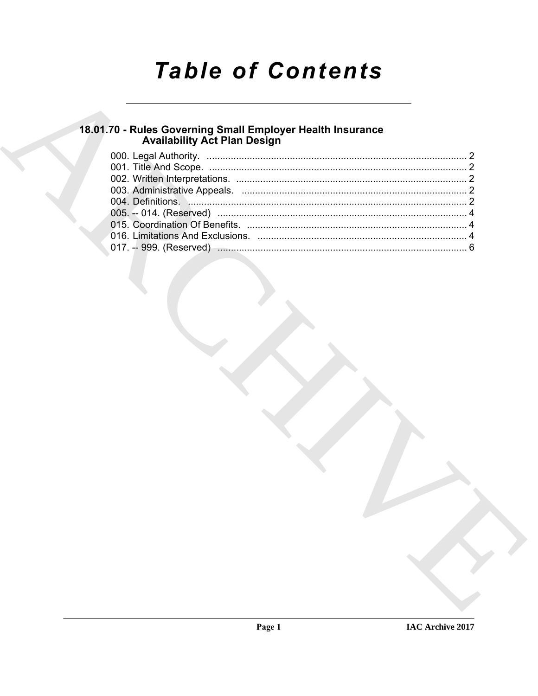# **Table of Contents**

# 18.01.70 - Rules Governing Small Employer Health Insurance<br>Availability Act Plan Design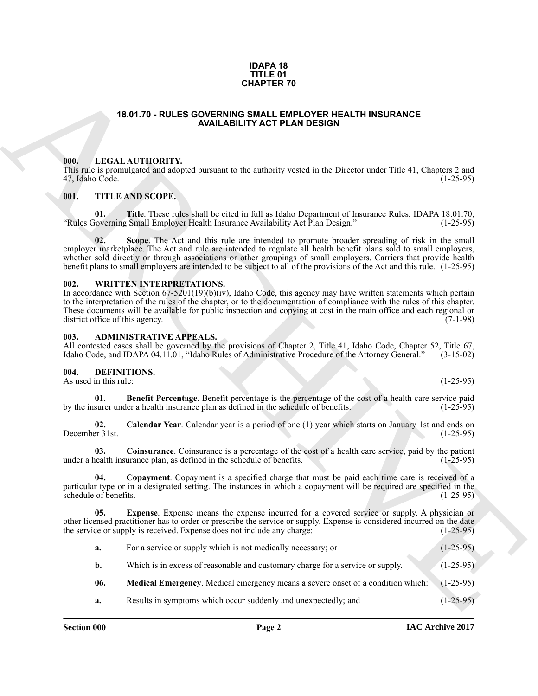#### **IDAPA 18 TITLE 01 CHAPTER 70**

#### **18.01.70 - RULES GOVERNING SMALL EMPLOYER HEALTH INSURANCE AVAILABILITY ACT PLAN DESIGN**

#### <span id="page-1-1"></span><span id="page-1-0"></span>**000. LEGAL AUTHORITY.**

#### <span id="page-1-2"></span>**001. TITLE AND SCOPE.**

#### <span id="page-1-3"></span>**002. WRITTEN INTERPRETATIONS.**

#### <span id="page-1-4"></span>**003. ADMINISTRATIVE APPEALS.**

#### <span id="page-1-12"></span><span id="page-1-11"></span><span id="page-1-10"></span><span id="page-1-9"></span><span id="page-1-8"></span><span id="page-1-7"></span><span id="page-1-6"></span><span id="page-1-5"></span>**004. DEFINITIONS.**

|                                         | <b>CHAPTER 70</b>                                                                                                                                                                                                                                                                                                                                                                                                                                                 |             |
|-----------------------------------------|-------------------------------------------------------------------------------------------------------------------------------------------------------------------------------------------------------------------------------------------------------------------------------------------------------------------------------------------------------------------------------------------------------------------------------------------------------------------|-------------|
|                                         | 18.01.70 - RULES GOVERNING SMALL EMPLOYER HEALTH INSURANCE<br><b>AVAILABILITY ACT PLAN DESIGN</b>                                                                                                                                                                                                                                                                                                                                                                 |             |
| 000.<br>47, Idaho Code.                 | LEGAL AUTHORITY.<br>This rule is promulgated and adopted pursuant to the authority vested in the Director under Title 41, Chapters 2 and                                                                                                                                                                                                                                                                                                                          | $(1-25-95)$ |
| 001.                                    | <b>TITLE AND SCOPE.</b>                                                                                                                                                                                                                                                                                                                                                                                                                                           |             |
| 01.                                     | <b>Title.</b> These rules shall be cited in full as Idaho Department of Insurance Rules, IDAPA 18.01.70,<br>"Rules Governing Small Employer Health Insurance Availability Act Plan Design."                                                                                                                                                                                                                                                                       | $(1-25-95)$ |
| 02.                                     | Scope. The Act and this rule are intended to promote broader spreading of risk in the small<br>employer marketplace. The Act and rule are intended to regulate all health benefit plans sold to small employers,<br>whether sold directly or through associations or other groupings of small employers. Carriers that provide health<br>benefit plans to small employers are intended to be subject to all of the provisions of the Act and this rule. (1-25-95) |             |
| 002.<br>district office of this agency. | <b>WRITTEN INTERPRETATIONS.</b><br>In accordance with Section $67-5201(19)(b)(iv)$ , Idaho Code, this agency may have written statements which pertain<br>to the interpretation of the rules of the chapter, or to the documentation of compliance with the rules of this chapter.<br>These documents will be available for public inspection and copying at cost in the main office and each regional or                                                         | $(7-1-98)$  |
| 003.                                    | <b>ADMINISTRATIVE APPEALS.</b><br>All contested cases shall be governed by the provisions of Chapter 2, Title 41, Idaho Code, Chapter 52, Title 67,<br>Idaho Code, and IDAPA 04.11.01, "Idaho Rules of Administrative Procedure of the Attorney General."                                                                                                                                                                                                         | $(3-15-02)$ |
| 004.<br>As used in this rule:           | DEFINITIONS.                                                                                                                                                                                                                                                                                                                                                                                                                                                      | $(1-25-95)$ |
| 01.                                     | Benefit Percentage. Benefit percentage is the percentage of the cost of a health care service paid<br>by the insurer under a health insurance plan as defined in the schedule of benefits.                                                                                                                                                                                                                                                                        | $(1-25-95)$ |
| 02.<br>December 31st.                   | Calendar Year. Calendar year is a period of one (1) year which starts on January 1st and ends on                                                                                                                                                                                                                                                                                                                                                                  | $(1-25-95)$ |
| 03.                                     | <b>Coinsurance</b> . Coinsurance is a percentage of the cost of a health care service, paid by the patient<br>under a health insurance plan, as defined in the schedule of benefits.                                                                                                                                                                                                                                                                              | $(1-25-95)$ |
| 04.<br>schedule of benefits.            | Copayment. Copayment is a specified charge that must be paid each time care is received of a<br>particular type or in a designated setting. The instances in which a copayment will be required are specified in the                                                                                                                                                                                                                                              | $(1-25-95)$ |
| 05.                                     | <b>Expense</b> . Expense means the expense incurred for a covered service or supply. A physician or<br>other licensed practitioner has to order or prescribe the service or supply. Expense is considered incurred on the date<br>the service or supply is received. Expense does not include any charge:                                                                                                                                                         | $(1-25-95)$ |
| a.                                      | For a service or supply which is not medically necessary; or                                                                                                                                                                                                                                                                                                                                                                                                      | $(1-25-95)$ |
| b.                                      | Which is in excess of reasonable and customary charge for a service or supply.                                                                                                                                                                                                                                                                                                                                                                                    | $(1-25-95)$ |
| 06.                                     | Medical Emergency. Medical emergency means a severe onset of a condition which:                                                                                                                                                                                                                                                                                                                                                                                   | $(1-25-95)$ |
| a.                                      | Results in symptoms which occur suddenly and unexpectedly; and                                                                                                                                                                                                                                                                                                                                                                                                    | $(1-25-95)$ |
|                                         |                                                                                                                                                                                                                                                                                                                                                                                                                                                                   |             |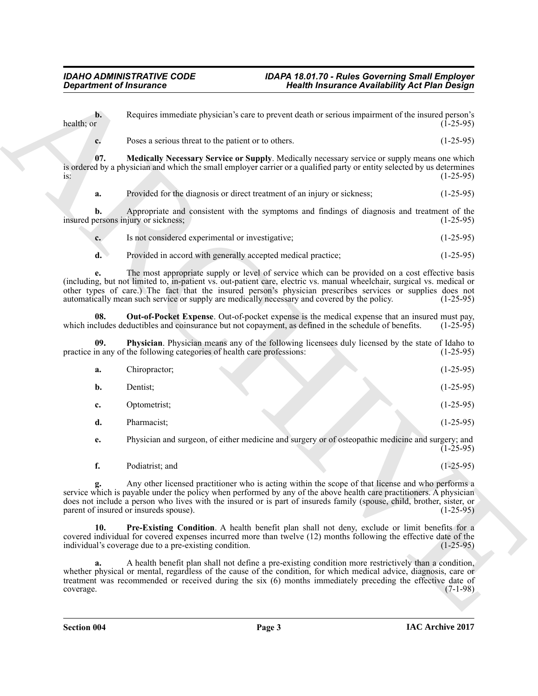<span id="page-2-3"></span><span id="page-2-2"></span><span id="page-2-1"></span><span id="page-2-0"></span>

|  | Is not considered experimental or investigative; | $(1-25-95)$ |
|--|--------------------------------------------------|-------------|
|  |                                                  |             |

|                              | <b>Department of Insurance</b>                                                                                                                                                                                                                                                                                                                                                                                                             | <b>Health Insurance Availability Act Plan Design</b> |
|------------------------------|--------------------------------------------------------------------------------------------------------------------------------------------------------------------------------------------------------------------------------------------------------------------------------------------------------------------------------------------------------------------------------------------------------------------------------------------|------------------------------------------------------|
| $\mathbf{b}$ .<br>health; or | Requires immediate physician's care to prevent death or serious impairment of the insured person's                                                                                                                                                                                                                                                                                                                                         | $(1-25-95)$                                          |
| c.                           | Poses a serious threat to the patient or to others.                                                                                                                                                                                                                                                                                                                                                                                        | $(1-25-95)$                                          |
| 07.<br>$iS$ :                | Medically Necessary Service or Supply. Medically necessary service or supply means one which<br>is ordered by a physician and which the small employer carrier or a qualified party or entity selected by us determines                                                                                                                                                                                                                    | $(1-25-95)$                                          |
| a.                           | Provided for the diagnosis or direct treatment of an injury or sickness;                                                                                                                                                                                                                                                                                                                                                                   | $(1-25-95)$                                          |
| b.                           | Appropriate and consistent with the symptoms and findings of diagnosis and treatment of the<br>insured persons injury or sickness;                                                                                                                                                                                                                                                                                                         | $(1-25-95)$                                          |
| $c_{\cdot}$                  | Is not considered experimental or investigative;                                                                                                                                                                                                                                                                                                                                                                                           | $(1-25-95)$                                          |
| d.                           | Provided in accord with generally accepted medical practice;                                                                                                                                                                                                                                                                                                                                                                               | $(1-25-95)$                                          |
| е.                           | The most appropriate supply or level of service which can be provided on a cost effective basis<br>(including, but not limited to, in-patient vs. out-patient care, electric vs. manual wheelchair, surgical vs. medical or<br>other types of care.) The fact that the insured person's physician prescribes services or supplies does not<br>automatically mean such service or supply are medically necessary and covered by the policy. | $(1-25-95)$                                          |
| 08.                          | <b>Out-of-Pocket Expense</b> . Out-of-pocket expense is the medical expense that an insured must pay,<br>which includes deductibles and coinsurance but not copayment, as defined in the schedule of benefits.                                                                                                                                                                                                                             | $(1-25-95)$                                          |
| 09.                          | Physician. Physician means any of the following licensees duly licensed by the state of Idaho to<br>practice in any of the following categories of health care professions:                                                                                                                                                                                                                                                                | $(1-25-95)$                                          |
| a.                           | Chiropractor;                                                                                                                                                                                                                                                                                                                                                                                                                              | $(1-25-95)$                                          |
| b.                           | Dentist;                                                                                                                                                                                                                                                                                                                                                                                                                                   | $(1-25-95)$                                          |
| c.                           | Optometrist;                                                                                                                                                                                                                                                                                                                                                                                                                               | $(1-25-95)$                                          |
| d.                           | Pharmacist;                                                                                                                                                                                                                                                                                                                                                                                                                                | $(1-25-95)$                                          |
| e.                           | Physician and surgeon, of either medicine and surgery or of osteopathic medicine and surgery; and                                                                                                                                                                                                                                                                                                                                          | $(1-25-95)$                                          |
| f.                           | Podiatrist; and                                                                                                                                                                                                                                                                                                                                                                                                                            | $(1-25-95)$                                          |
|                              | Any other licensed practitioner who is acting within the scope of that license and who performs a<br>service which is payable under the policy when performed by any of the above health care practitioners. A physician<br>does not include a person who lives with the insured or is part of insureds family (spouse, child, brother, sister, or<br>parent of insured or insureds spouse).                                               | $(1-25-95)$                                          |
| 10.                          | Pre-Existing Condition. A health benefit plan shall not deny, exclude or limit benefits for a<br>covered individual for covered expenses incurred more than twelve (12) months following the effective date of the<br>individual's coverage due to a pre-existing condition.                                                                                                                                                               | $(1-25-95)$                                          |
| a.<br>coverage.              | A health benefit plan shall not define a pre-existing condition more restrictively than a condition,<br>whether physical or mental, regardless of the cause of the condition, for which medical advice, diagnosis, care or<br>treatment was recommended or received during the six (6) months immediately preceding the effective date of                                                                                                  | $(7-1-98)$                                           |
|                              |                                                                                                                                                                                                                                                                                                                                                                                                                                            |                                                      |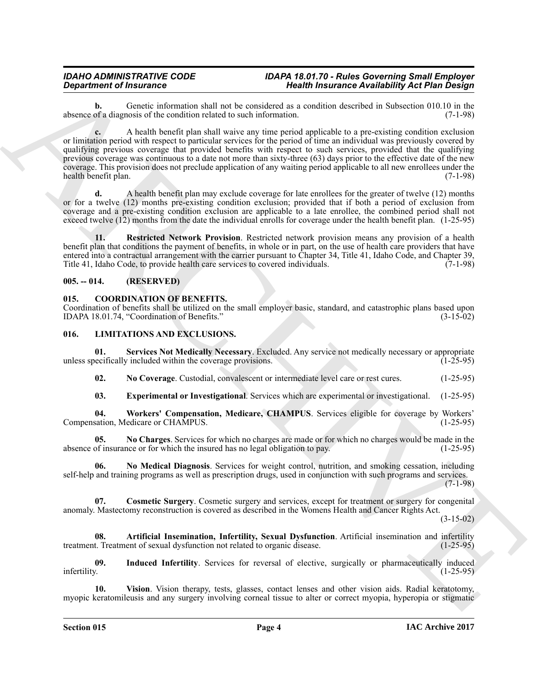**b.** Genetic information shall not be considered as a condition described in Subsection 010.10 in the of a diagnosis of the condition related to such information. (7-1-98) absence of a diagnosis of the condition related to such information.

*Department of Instantant* **Sympatrics** and the laterature of *Health Brauning**Meximine Books (19 Han Design)***<br>
absence the state intermal and call the consistent in the state of the state of the state of the figure o c.** A health benefit plan shall waive any time period applicable to a pre-existing condition exclusion or limitation period with respect to particular services for the period of time an individual was previously covered by qualifying previous coverage that provided benefits with respect to such services, provided that the qualifying previous coverage was continuous to a date not more than sixty-three (63) days prior to the effective date of the new coverage. This provision does not preclude application of any waiting period applicable to all new enrollees under the health benefit plan. (7-1-98)

**d.** A health benefit plan may exclude coverage for late enrollees for the greater of twelve (12) months or for a twelve (12) months pre-existing condition exclusion; provided that if both a period of exclusion from coverage and a pre-existing condition exclusion are applicable to a late enrollee, the combined period shall not exceed twelve (12) months from the date the individual enrolls for coverage under the health benefit plan. (1-25-95)

<span id="page-3-4"></span>**11. Restricted Network Provision**. Restricted network provision means any provision of a health benefit plan that conditions the payment of benefits, in whole or in part, on the use of health care providers that have entered into a contractual arrangement with the carrier pursuant to Chapter 34, Title 41, Idaho Code, and Chapter 39, Title 41, Idaho Code, to provide health care services to covered individuals. (7-1-98)

### <span id="page-3-0"></span>**005. -- 014. (RESERVED)**

### <span id="page-3-3"></span><span id="page-3-1"></span>**015. COORDINATION OF BENEFITS.**

Coordination of benefits shall be utilized on the small employer basic, standard, and catastrophic plans based upon IDAPA 18.01.74, "Coordination of Benefits." (3-15-02)

### <span id="page-3-5"></span><span id="page-3-2"></span>**016. LIMITATIONS AND EXCLUSIONS.**

**01.** Services Not Medically Necessary. Excluded. Any service not medically necessary or appropriate becifically included within the coverage provisions. (1-25-95) unless specifically included within the coverage provisions.

<span id="page-3-13"></span><span id="page-3-11"></span>**02. No Coverage**. Custodial, convalescent or intermediate level care or rest cures. (1-25-95)

<span id="page-3-15"></span><span id="page-3-10"></span><span id="page-3-8"></span>**03. Experimental or Investigational**. Services which are experimental or investigational. (1-25-95)

**04. Workers' Compensation, Medicare, CHAMPUS**. Services eligible for coverage by Workers' Compensation, Medicare or CHAMPUS.

**05.** No Charges. Services for which no charges are made or for which no charges would be made in the of insurance or for which the insured has no legal obligation to pay. (1-25-95) absence of insurance or for which the insured has no legal obligation to pay.

<span id="page-3-12"></span>**06. No Medical Diagnosis**. Services for weight control, nutrition, and smoking cessation, including self-help and training programs as well as prescription drugs, used in conjunction with such programs and services. (7-1-98)

<span id="page-3-7"></span>**07. Cosmetic Surgery**. Cosmetic surgery and services, except for treatment or surgery for congenital anomaly. Mastectomy reconstruction is covered as described in the Womens Health and Cancer Rights Act.

(3-15-02)

<span id="page-3-6"></span>**08.** Artificial Insemination, Infertility, Sexual Dysfunction. Artificial insemination and infertility t. Treatment of sexual dysfunction not related to organic disease. (1-25-95) treatment. Treatment of sexual dysfunction not related to organic disease.

<span id="page-3-9"></span>**09.** Induced Infertility. Services for reversal of elective, surgically or pharmaceutically induced infertility. (1-25-95) infertility. (1-25-95)

<span id="page-3-14"></span>**10. Vision**. Vision therapy, tests, glasses, contact lenses and other vision aids. Radial keratotomy, myopic keratomileusis and any surgery involving corneal tissue to alter or correct myopia, hyperopia or stigmatic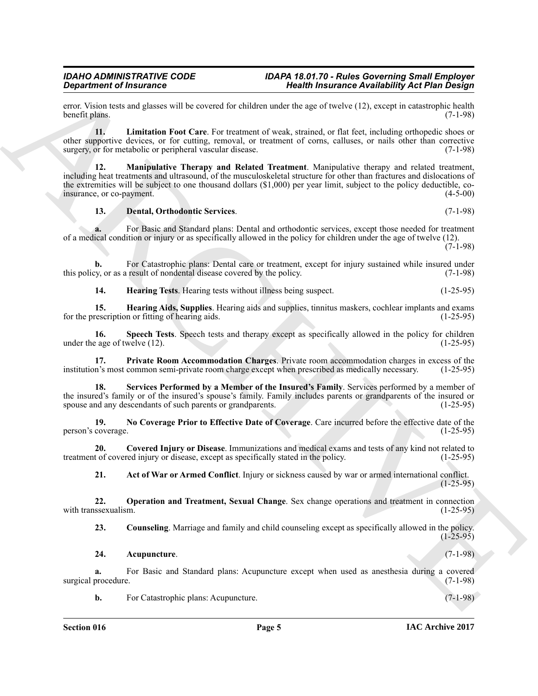error. Vision tests and glasses will be covered for children under the age of twelve (12), except in catastrophic health benefit plans. (7-1-98) benefit plans.

<span id="page-4-7"></span>**11. Limitation Foot Care**. For treatment of weak, strained, or flat feet, including orthopedic shoes or other supportive devices, or for cutting, removal, or treatment of corns, calluses, or nails other than corrective surgery, or for metabolic or peripheral vascular disease.

**Signal methods and the control for example, the signal methods of the signal methods of the signal methods of the signal methods of the signal methods of the signal methods of the signal methods of the signal methods of 12. Manipulative Therapy and Related Treatment**. Manipulative therapy and related treatment, including heat treatments and ultrasound, of the musculoskeletal structure for other than fractures and dislocations of the extremities will be subject to one thousand dollars (\$1,000) per year limit, subject to the policy deductible, co-<br>insurance, or co-payment. (4-5-00) insurance, or co-payment.

#### <span id="page-4-8"></span><span id="page-4-4"></span>**13. Dental, Orthodontic Services**. (7-1-98)

**a.** For Basic and Standard plans: Dental and orthodontic services, except those needed for treatment of a medical condition or injury or as specifically allowed in the policy for children under the age of twelve (12).

 $(7-1-98)$ 

**b.** For Catastrophic plans: Dental care or treatment, except for injury sustained while insured under by the v. or as a result of nondental disease covered by the policy. this policy, or as a result of nondental disease covered by the policy.

<span id="page-4-13"></span><span id="page-4-6"></span><span id="page-4-5"></span>**14. Hearing Tests**. Hearing tests without illness being suspect. (1-25-95)

**15. Hearing Aids, Supplies**. Hearing aids and supplies, tinnitus maskers, cochlear implants and exams for the prescription or fitting of hearing aids. (1-25-95)

**16.** Speech Tests. Speech tests and therapy except as specifically allowed in the policy for children eage of twelve (12). (1-25-95) under the age of twelve  $(12)$ .

<span id="page-4-11"></span>**17. Private Room Accommodation Charges**. Private room accommodation charges in excess of the n's most common semi-private room charge except when prescribed as medically necessary. (1-25-95) institution's most common semi-private room charge except when prescribed as medically necessary.

<span id="page-4-12"></span>**18. Services Performed by a Member of the Insured's Family**. Services performed by a member of the insured's family or of the insured's spouse's family. Family includes parents or grandparents of the insured or spouse and any descendants of such parents or grandparents. (1-25-95) spouse and any descendants of such parents or grandparents.

<span id="page-4-9"></span>**19. No Coverage Prior to Effective Date of Coverage**. Care incurred before the effective date of the person's coverage.

**20. Covered Injury or Disease**. Immunizations and medical exams and tests of any kind not related to treatment of covered injury or disease, except as specifically stated in the policy.

<span id="page-4-10"></span><span id="page-4-3"></span><span id="page-4-0"></span>**21. Act of War or Armed Conflict**. Injury or sickness caused by war or armed international conflict. (1-25-95)

**22. Operation and Treatment, Sexual Change**. Sex change operations and treatment in connection ssexualism. (1-25-95) with transsexualism.

<span id="page-4-2"></span>**23. Counseling**. Marriage and family and child counseling except as specifically allowed in the policy.  $(1 - 25 - 95)$ 

#### <span id="page-4-1"></span>**24. Acupuncture**. (7-1-98)

**a.** For Basic and Standard plans: Acupuncture except when used as anesthesia during a covered procedure. (7-1-98) surgical procedure.

**b.** For Catastrophic plans: Acupuncture. (7-1-98)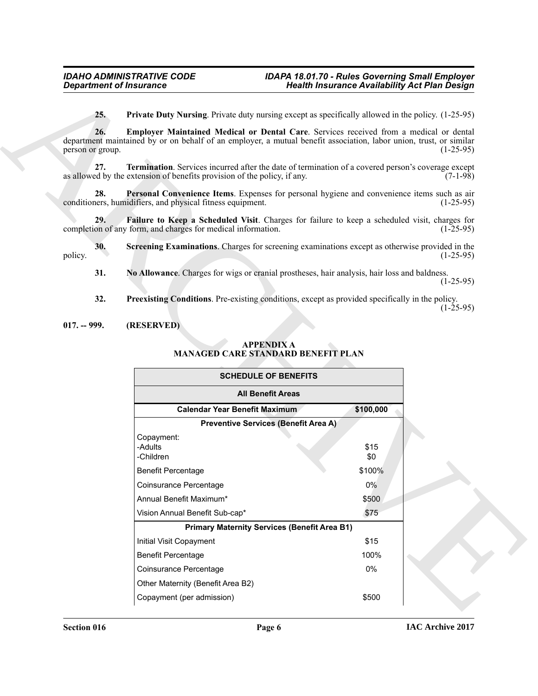#### <span id="page-5-8"></span><span id="page-5-6"></span><span id="page-5-5"></span><span id="page-5-4"></span><span id="page-5-3"></span><span id="page-5-0"></span>**017. -- 999. (RESERVED)**

### <span id="page-5-1"></span>**APPENDIX A MANAGED CARE STANDARD BENEFIT PLAN**

<span id="page-5-9"></span><span id="page-5-7"></span><span id="page-5-2"></span>

|                         | <b>Department of Insurance</b>                                                                                                                                                                               | <b>Health Insurance Availability Act Plan Design</b> |             |
|-------------------------|--------------------------------------------------------------------------------------------------------------------------------------------------------------------------------------------------------------|------------------------------------------------------|-------------|
| 25.                     | <b>Private Duty Nursing</b> . Private duty nursing except as specifically allowed in the policy. (1-25-95)                                                                                                   |                                                      |             |
| 26.<br>person or group. | Employer Maintained Medical or Dental Care. Services received from a medical or dental<br>department maintained by or on behalf of an employer, a mutual benefit association, labor union, trust, or similar |                                                      | $(1-25-95)$ |
| 27.                     | Termination. Services incurred after the date of termination of a covered person's coverage except<br>as allowed by the extension of benefits provision of the policy, if any.                               |                                                      | $(7-1-98)$  |
| 28.                     | Personal Convenience Items. Expenses for personal hygiene and convenience items such as air<br>conditioners, humidifiers, and physical fitness equipment.                                                    |                                                      | $(1-25-95)$ |
| 29.                     | Failure to Keep a Scheduled Visit. Charges for failure to keep a scheduled visit, charges for<br>completion of any form, and charges for medical information.                                                |                                                      | $(1-25-95)$ |
| 30.<br>policy.          | Screening Examinations. Charges for screening examinations except as otherwise provided in the                                                                                                               |                                                      | $(1-25-95)$ |
| 31.                     | No Allowance. Charges for wigs or cranial prostheses, hair analysis, hair loss and baldness.                                                                                                                 |                                                      | $(1-25-95)$ |
| 32.                     | <b>Preexisting Conditions.</b> Pre-existing conditions, except as provided specifically in the policy.                                                                                                       |                                                      | $(1-25-95)$ |
| $017. - 999.$           | (RESERVED)                                                                                                                                                                                                   |                                                      |             |
|                         | <b>APPENDIX A</b><br><b>MANAGED CARE STANDARD BENEFIT PLAN</b>                                                                                                                                               |                                                      |             |
|                         | <b>SCHEDULE OF BENEFITS</b>                                                                                                                                                                                  |                                                      |             |
|                         | <b>All Benefit Areas</b>                                                                                                                                                                                     |                                                      |             |
|                         | <b>Calendar Year Benefit Maximum</b>                                                                                                                                                                         | \$100,000                                            |             |
|                         | <b>Preventive Services (Benefit Area A)</b><br>Copayment:                                                                                                                                                    |                                                      |             |
|                         | -Adults                                                                                                                                                                                                      | \$15                                                 |             |
|                         | -Children                                                                                                                                                                                                    | \$0                                                  |             |
|                         | <b>Benefit Percentage</b>                                                                                                                                                                                    | \$100%                                               |             |
|                         | Coinsurance Percentage                                                                                                                                                                                       | 0%                                                   |             |
|                         | Annual Benefit Maximum*<br>Vision Annual Benefit Sub-cap*                                                                                                                                                    | \$500<br>\$75                                        |             |
|                         | <b>Primary Maternity Services (Benefit Area B1)</b>                                                                                                                                                          |                                                      |             |
|                         | <b>Initial Visit Copayment</b>                                                                                                                                                                               | \$15                                                 |             |
|                         | <b>Benefit Percentage</b>                                                                                                                                                                                    | 100%                                                 |             |
|                         | Coinsurance Percentage                                                                                                                                                                                       | 0%                                                   |             |
|                         | Other Maternity (Benefit Area B2)                                                                                                                                                                            |                                                      |             |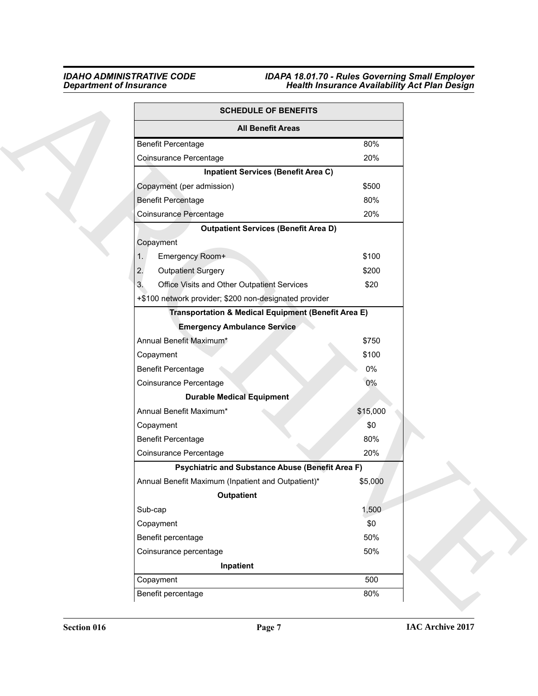| <b>SCHEDULE OF BENEFITS</b>                                    |          |
|----------------------------------------------------------------|----------|
| <b>All Benefit Areas</b>                                       |          |
| <b>Benefit Percentage</b>                                      | 80%      |
| Coinsurance Percentage                                         | 20%      |
| <b>Inpatient Services (Benefit Area C)</b>                     |          |
| Copayment (per admission)                                      | \$500    |
| <b>Benefit Percentage</b>                                      | 80%      |
| Coinsurance Percentage                                         | 20%      |
| <b>Outpatient Services (Benefit Area D)</b>                    |          |
| Copayment                                                      |          |
| Emergency Room+<br>1.                                          | \$100    |
| 2.<br><b>Outpatient Surgery</b>                                | \$200    |
| Office Visits and Other Outpatient Services<br>3.              | \$20     |
| +\$100 network provider; \$200 non-designated provider         |          |
| <b>Transportation &amp; Medical Equipment (Benefit Area E)</b> |          |
| <b>Emergency Ambulance Service</b>                             |          |
| Annual Benefit Maximum*                                        | \$750    |
| Copayment                                                      | \$100    |
| <b>Benefit Percentage</b>                                      | $0\%$    |
| Coinsurance Percentage                                         | 0%       |
| <b>Durable Medical Equipment</b>                               |          |
| Annual Benefit Maximum*                                        | \$15,000 |
| Copayment                                                      | \$0      |
| <b>Benefit Percentage</b>                                      | 80%      |
| Coinsurance Percentage                                         | 20%      |
| <b>Psychiatric and Substance Abuse (Benefit Area F)</b>        |          |
| Annual Benefit Maximum (Inpatient and Outpatient)*             | \$5,000  |
| Outpatient                                                     |          |
| Sub-cap                                                        | 1,500    |
| Copayment                                                      | \$0      |
| Benefit percentage                                             | 50%      |
| Coinsurance percentage                                         | 50%      |
| Inpatient                                                      |          |
| Copayment                                                      | 500      |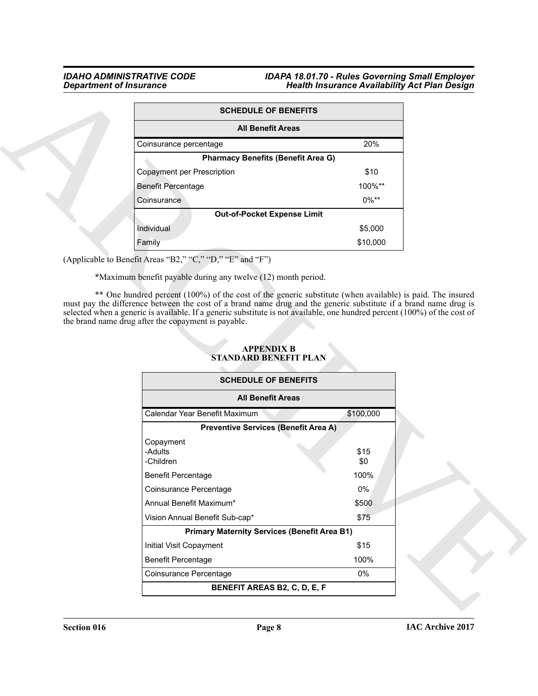| <b>SCHEDULE OF BENEFITS</b>               |          |
|-------------------------------------------|----------|
| <b>All Benefit Areas</b>                  |          |
| Coinsurance percentage                    | 20%      |
| <b>Pharmacy Benefits (Benefit Area G)</b> |          |
| Copayment per Prescription                | \$10     |
| <b>Benefit Percentage</b>                 | 100%**   |
| Coinsurance                               | $0\%$ ** |
| <b>Out-of-Pocket Expense Limit</b>        |          |
| Individual                                | \$5,000  |
| Family                                    | \$10,000 |

| <b>SCHEDULE OF BENEFITS</b>                                               |                                                                                                                           |
|---------------------------------------------------------------------------|---------------------------------------------------------------------------------------------------------------------------|
| <b>All Benefit Areas</b>                                                  |                                                                                                                           |
| Coinsurance percentage                                                    | 20%                                                                                                                       |
| <b>Pharmacy Benefits (Benefit Area G)</b>                                 |                                                                                                                           |
| Copayment per Prescription                                                | \$10                                                                                                                      |
| <b>Benefit Percentage</b>                                                 | 100%**                                                                                                                    |
| Coinsurance                                                               | $0\%**$                                                                                                                   |
| <b>Out-of-Pocket Expense Limit</b>                                        |                                                                                                                           |
| Individual                                                                | \$5,000                                                                                                                   |
| Family                                                                    | \$10,000                                                                                                                  |
| (Applicable to Benefit Areas "B2," "C," "D," "E" and "F")                 |                                                                                                                           |
| *Maximum benefit payable during any twelve (12) month period.             |                                                                                                                           |
| the brand name drug after the copayment is payable.                       | selected when a generic is available. If a generic substitute is not available, one hundred percent (100%) of the cost of |
| <b>APPENDIX B</b><br>STANDARD BENEFIT PLAN<br><b>SCHEDULE OF BENEFITS</b> |                                                                                                                           |
| <b>All Benefit Areas</b>                                                  |                                                                                                                           |
| Calendar Year Benefit Maximum                                             | \$100,000                                                                                                                 |
| <b>Preventive Services (Benefit Area A)</b>                               |                                                                                                                           |
| Copayment<br>-Adults<br>-Children                                         | \$15<br>\$0                                                                                                               |
| <b>Benefit Percentage</b>                                                 | 100%                                                                                                                      |
| Coinsurance Percentage                                                    | $0\%$                                                                                                                     |
| Annual Benefit Maximum*                                                   | \$500                                                                                                                     |
| Vision Annual Benefit Sub-cap*                                            | \$75                                                                                                                      |
| <b>Primary Maternity Services (Benefit Area B1)</b>                       |                                                                                                                           |
| Initial Visit Copayment                                                   | \$15                                                                                                                      |
| <b>Benefit Percentage</b>                                                 | 100%                                                                                                                      |
| Coinsurance Percentage                                                    | 0%                                                                                                                        |

### <span id="page-7-0"></span>**APPENDIX B STANDARD BENEFIT PLAN**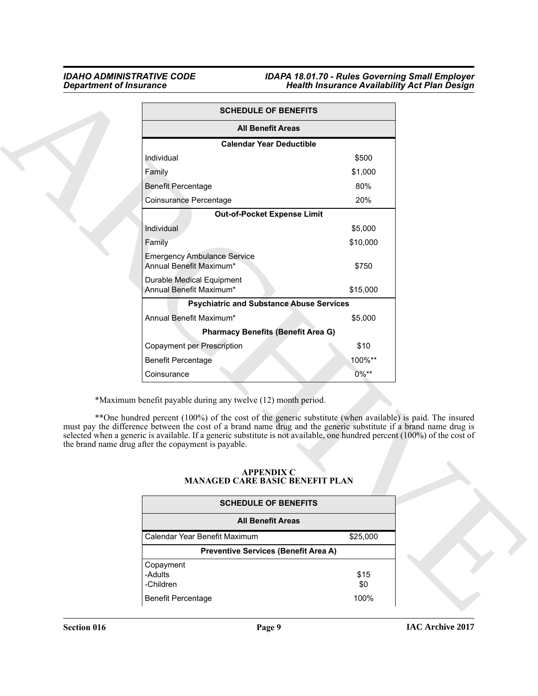|                                                                                                                                                                                                                                                                                                                                                                                                                                                                                   | <b>SCHEDULE OF BENEFITS</b>                                 |  |
|-----------------------------------------------------------------------------------------------------------------------------------------------------------------------------------------------------------------------------------------------------------------------------------------------------------------------------------------------------------------------------------------------------------------------------------------------------------------------------------|-------------------------------------------------------------|--|
|                                                                                                                                                                                                                                                                                                                                                                                                                                                                                   | <b>All Benefit Areas</b>                                    |  |
|                                                                                                                                                                                                                                                                                                                                                                                                                                                                                   | <b>Calendar Year Deductible</b>                             |  |
| Individual                                                                                                                                                                                                                                                                                                                                                                                                                                                                        | \$500                                                       |  |
| Family                                                                                                                                                                                                                                                                                                                                                                                                                                                                            | \$1,000                                                     |  |
| <b>Benefit Percentage</b>                                                                                                                                                                                                                                                                                                                                                                                                                                                         | 80%                                                         |  |
| Coinsurance Percentage                                                                                                                                                                                                                                                                                                                                                                                                                                                            | 20%                                                         |  |
|                                                                                                                                                                                                                                                                                                                                                                                                                                                                                   | Out-of-Pocket Expense Limit                                 |  |
| Individual                                                                                                                                                                                                                                                                                                                                                                                                                                                                        | \$5,000                                                     |  |
| Family                                                                                                                                                                                                                                                                                                                                                                                                                                                                            | \$10,000                                                    |  |
| <b>Emergency Ambulance Service</b><br>Annual Benefit Maximum*                                                                                                                                                                                                                                                                                                                                                                                                                     | \$750                                                       |  |
| <b>Durable Medical Equipment</b><br>Annual Benefit Maximum*                                                                                                                                                                                                                                                                                                                                                                                                                       | \$15,000                                                    |  |
|                                                                                                                                                                                                                                                                                                                                                                                                                                                                                   | <b>Psychiatric and Substance Abuse Services</b>             |  |
| Annual Benefit Maximum*                                                                                                                                                                                                                                                                                                                                                                                                                                                           | \$5,000                                                     |  |
|                                                                                                                                                                                                                                                                                                                                                                                                                                                                                   | <b>Pharmacy Benefits (Benefit Area G)</b>                   |  |
| Copayment per Prescription                                                                                                                                                                                                                                                                                                                                                                                                                                                        | \$10                                                        |  |
| <b>Benefit Percentage</b>                                                                                                                                                                                                                                                                                                                                                                                                                                                         | 100%**                                                      |  |
|                                                                                                                                                                                                                                                                                                                                                                                                                                                                                   | $0\%**$                                                     |  |
| Coinsurance                                                                                                                                                                                                                                                                                                                                                                                                                                                                       |                                                             |  |
| *Maximum benefit payable during any twelve (12) month period.<br>**One hundred percent (100%) of the cost of the generic substitute (when available) is paid. The insured<br>must pay the difference between the cost of a brand name drug and the generic substitute if a brand name drug is<br>selected when a generic is available. If a generic substitute is not available, one hundred percent (100%) of the cost of<br>the brand name drug after the copayment is payable. | <b>APPENDIX C</b><br><b>MANAGED CARE BASIC BENEFIT PLAN</b> |  |
|                                                                                                                                                                                                                                                                                                                                                                                                                                                                                   | <b>SCHEDULE OF BENEFITS</b>                                 |  |
|                                                                                                                                                                                                                                                                                                                                                                                                                                                                                   | <b>All Benefit Areas</b>                                    |  |
| Calendar Year Benefit Maximum                                                                                                                                                                                                                                                                                                                                                                                                                                                     |                                                             |  |
|                                                                                                                                                                                                                                                                                                                                                                                                                                                                                   | \$25,000                                                    |  |
|                                                                                                                                                                                                                                                                                                                                                                                                                                                                                   | <b>Preventive Services (Benefit Area A)</b>                 |  |
| Copayment<br>-Adults<br>-Children                                                                                                                                                                                                                                                                                                                                                                                                                                                 | \$15<br>\$0                                                 |  |

#### <span id="page-8-0"></span>**APPENDIX C MANAGED CARE BASIC BENEFIT PLAN**

| <b>SCHEDULE OF BENEFITS</b>                 |             |
|---------------------------------------------|-------------|
| <b>All Benefit Areas</b>                    |             |
| Calendar Year Benefit Maximum               | \$25,000    |
| <b>Preventive Services (Benefit Area A)</b> |             |
| Copayment<br>-Adults<br>-Children           | \$15<br>\$0 |
| <b>Benefit Percentage</b>                   | 100%        |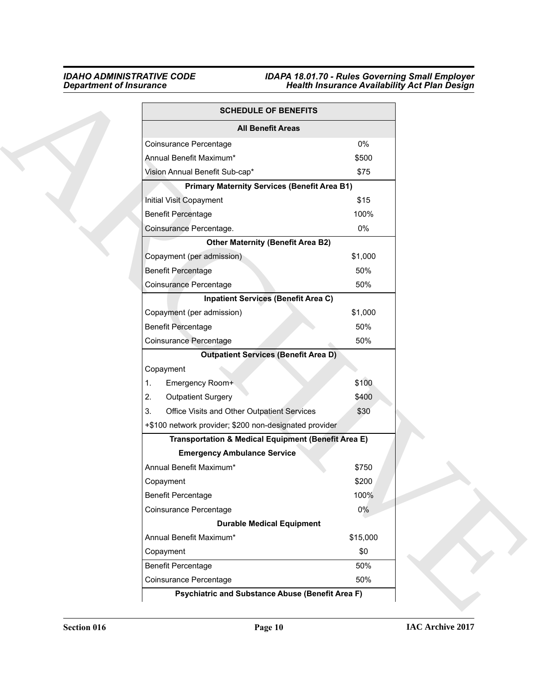|    | <b>SCHEDULE OF BENEFITS</b>                            |          |
|----|--------------------------------------------------------|----------|
|    | <b>All Benefit Areas</b>                               |          |
|    | Coinsurance Percentage                                 | 0%       |
|    | Annual Benefit Maximum*                                | \$500    |
|    | Vision Annual Benefit Sub-cap*                         | \$75     |
|    | <b>Primary Maternity Services (Benefit Area B1)</b>    |          |
|    | Initial Visit Copayment                                | \$15     |
|    | <b>Benefit Percentage</b>                              | 100%     |
|    | Coinsurance Percentage.                                | 0%       |
|    | <b>Other Maternity (Benefit Area B2)</b>               |          |
|    | Copayment (per admission)                              | \$1,000  |
|    | <b>Benefit Percentage</b>                              | 50%      |
|    | Coinsurance Percentage                                 | 50%      |
|    | <b>Inpatient Services (Benefit Area C)</b>             |          |
|    | Copayment (per admission)                              | \$1,000  |
|    | <b>Benefit Percentage</b>                              | 50%      |
|    | Coinsurance Percentage                                 | 50%      |
|    | <b>Outpatient Services (Benefit Area D)</b>            |          |
|    | Copayment                                              |          |
| 1. | Emergency Room+                                        | \$100    |
| 2. | <b>Outpatient Surgery</b>                              | \$400    |
| 3. | Office Visits and Other Outpatient Services            | \$30     |
|    | +\$100 network provider; \$200 non-designated provider |          |
|    | Transportation & Medical Equipment (Benefit Area E)    |          |
|    | <b>Emergency Ambulance Service</b>                     |          |
|    | Annual Benefit Maximum*                                | \$750    |
|    | Copayment                                              | \$200    |
|    | <b>Benefit Percentage</b>                              | 100%     |
|    | Coinsurance Percentage                                 | $0\%$    |
|    | <b>Durable Medical Equipment</b>                       |          |
|    | Annual Benefit Maximum*                                | \$15,000 |
|    | Copayment                                              | \$0      |
|    | <b>Benefit Percentage</b>                              | 50%      |
|    | Coinsurance Percentage                                 | 50%      |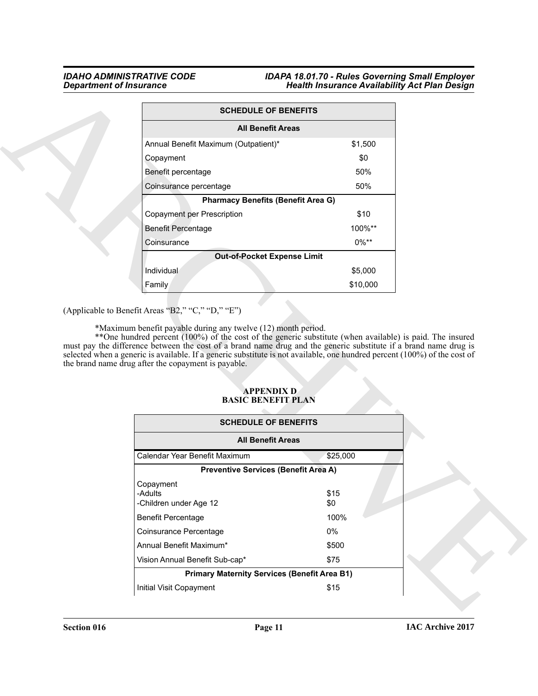| <b>SCHEDULE OF BENEFITS</b>                                                                                                                                                                                                                                                                                                                                                                                                                                                                                                                                 |             |  |
|-------------------------------------------------------------------------------------------------------------------------------------------------------------------------------------------------------------------------------------------------------------------------------------------------------------------------------------------------------------------------------------------------------------------------------------------------------------------------------------------------------------------------------------------------------------|-------------|--|
| <b>All Benefit Areas</b>                                                                                                                                                                                                                                                                                                                                                                                                                                                                                                                                    |             |  |
| Annual Benefit Maximum (Outpatient)*                                                                                                                                                                                                                                                                                                                                                                                                                                                                                                                        | \$1,500     |  |
| Copayment                                                                                                                                                                                                                                                                                                                                                                                                                                                                                                                                                   | \$0         |  |
| Benefit percentage                                                                                                                                                                                                                                                                                                                                                                                                                                                                                                                                          | 50%         |  |
| Coinsurance percentage                                                                                                                                                                                                                                                                                                                                                                                                                                                                                                                                      | 50%         |  |
| <b>Pharmacy Benefits (Benefit Area G)</b>                                                                                                                                                                                                                                                                                                                                                                                                                                                                                                                   |             |  |
| Copayment per Prescription                                                                                                                                                                                                                                                                                                                                                                                                                                                                                                                                  | \$10        |  |
| <b>Benefit Percentage</b>                                                                                                                                                                                                                                                                                                                                                                                                                                                                                                                                   | 100%**      |  |
| Coinsurance                                                                                                                                                                                                                                                                                                                                                                                                                                                                                                                                                 | $0\%**$     |  |
| <b>Out-of-Pocket Expense Limit</b>                                                                                                                                                                                                                                                                                                                                                                                                                                                                                                                          |             |  |
| Individual                                                                                                                                                                                                                                                                                                                                                                                                                                                                                                                                                  | \$5,000     |  |
| Family                                                                                                                                                                                                                                                                                                                                                                                                                                                                                                                                                      | \$10,000    |  |
| (Applicable to Benefit Areas "B2," "C," "D," "E")<br>*Maximum benefit payable during any twelve (12) month period.<br>**One hundred percent (100%) of the cost of the generic substitute (when available) is paid. The insured<br>must pay the difference between the cost of a brand name drug and the generic substitute if a brand name drug is<br>selected when a generic is available. If a generic substitute is not available, one hundred percent (100%) of the cost of<br>the brand name drug after the copayment is payable.<br><b>APPENDIX D</b> |             |  |
| <b>BASIC BENEFIT PLAN</b>                                                                                                                                                                                                                                                                                                                                                                                                                                                                                                                                   |             |  |
| <b>SCHEDULE OF BENEFITS</b>                                                                                                                                                                                                                                                                                                                                                                                                                                                                                                                                 |             |  |
| <b>All Benefit Areas</b><br>Calendar Year Benefit Maximum                                                                                                                                                                                                                                                                                                                                                                                                                                                                                                   |             |  |
| <b>Preventive Services (Benefit Area A)</b>                                                                                                                                                                                                                                                                                                                                                                                                                                                                                                                 | \$25,000    |  |
| Copayment<br>-Adults<br>-Children under Age 12                                                                                                                                                                                                                                                                                                                                                                                                                                                                                                              | \$15<br>\$0 |  |
| <b>Benefit Percentage</b>                                                                                                                                                                                                                                                                                                                                                                                                                                                                                                                                   | 100%        |  |
| Coinsurance Percentage                                                                                                                                                                                                                                                                                                                                                                                                                                                                                                                                      | 0%          |  |
| Annual Benefit Maximum*                                                                                                                                                                                                                                                                                                                                                                                                                                                                                                                                     | \$500       |  |
| Vision Annual Benefit Sub-cap*                                                                                                                                                                                                                                                                                                                                                                                                                                                                                                                              | \$75        |  |
| <b>Primary Maternity Services (Benefit Area B1)</b>                                                                                                                                                                                                                                                                                                                                                                                                                                                                                                         |             |  |

#### <span id="page-10-0"></span> **APPENDIX D BASIC BENEFIT PLAN**

| <b>SCHEDULE OF BENEFITS</b>                         |             |  |  |  |  |
|-----------------------------------------------------|-------------|--|--|--|--|
| <b>All Benefit Areas</b>                            |             |  |  |  |  |
| Calendar Year Benefit Maximum                       | \$25,000    |  |  |  |  |
| <b>Preventive Services (Benefit Area A)</b>         |             |  |  |  |  |
| Copayment<br>-Adults<br>-Children under Age 12      | \$15<br>\$0 |  |  |  |  |
| Benefit Percentage                                  | 100%        |  |  |  |  |
| Coinsurance Percentage                              | $0\%$       |  |  |  |  |
| Annual Benefit Maximum*                             | \$500       |  |  |  |  |
| Vision Annual Benefit Sub-cap*                      | \$75        |  |  |  |  |
| <b>Primary Maternity Services (Benefit Area B1)</b> |             |  |  |  |  |
| Initial Visit Copayment                             | \$15        |  |  |  |  |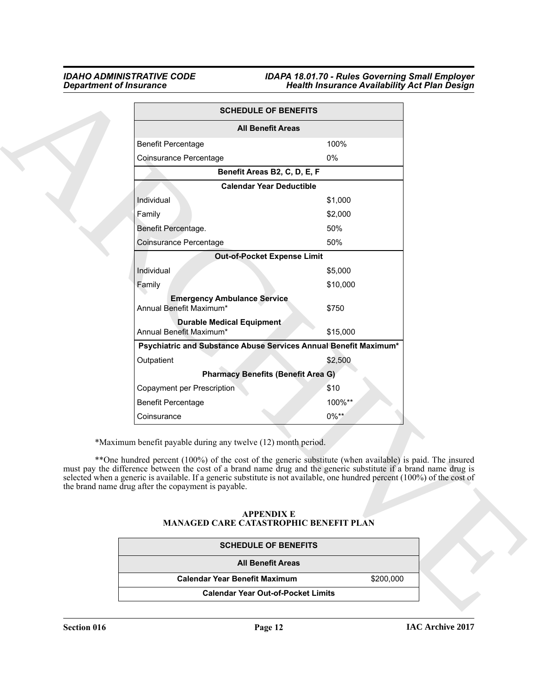|                                                                                                                      | <b>SCHEDULE OF BENEFITS</b>                                                                                                                                                                                                                                                                                                                               |
|----------------------------------------------------------------------------------------------------------------------|-----------------------------------------------------------------------------------------------------------------------------------------------------------------------------------------------------------------------------------------------------------------------------------------------------------------------------------------------------------|
|                                                                                                                      | <b>All Benefit Areas</b>                                                                                                                                                                                                                                                                                                                                  |
| <b>Benefit Percentage</b>                                                                                            | 100%                                                                                                                                                                                                                                                                                                                                                      |
| Coinsurance Percentage                                                                                               | 0%                                                                                                                                                                                                                                                                                                                                                        |
|                                                                                                                      | Benefit Areas B2, C, D, E, F                                                                                                                                                                                                                                                                                                                              |
|                                                                                                                      | <b>Calendar Year Deductible</b>                                                                                                                                                                                                                                                                                                                           |
| Individual                                                                                                           | \$1,000                                                                                                                                                                                                                                                                                                                                                   |
| Family                                                                                                               | \$2,000                                                                                                                                                                                                                                                                                                                                                   |
| Benefit Percentage.                                                                                                  | 50%                                                                                                                                                                                                                                                                                                                                                       |
| Coinsurance Percentage                                                                                               | 50%                                                                                                                                                                                                                                                                                                                                                       |
|                                                                                                                      | <b>Out-of-Pocket Expense Limit</b>                                                                                                                                                                                                                                                                                                                        |
| Individual                                                                                                           | \$5,000                                                                                                                                                                                                                                                                                                                                                   |
| Family                                                                                                               | \$10,000                                                                                                                                                                                                                                                                                                                                                  |
| <b>Emergency Ambulance Service</b><br>Annual Benefit Maximum*                                                        | \$750                                                                                                                                                                                                                                                                                                                                                     |
| <b>Durable Medical Equipment</b><br>Annual Benefit Maximum*                                                          | \$15,000                                                                                                                                                                                                                                                                                                                                                  |
|                                                                                                                      | Psychiatric and Substance Abuse Services Annual Benefit Maximum*                                                                                                                                                                                                                                                                                          |
| Outpatient                                                                                                           | \$2,500                                                                                                                                                                                                                                                                                                                                                   |
|                                                                                                                      | <b>Pharmacy Benefits (Benefit Area G)</b>                                                                                                                                                                                                                                                                                                                 |
| Copayment per Prescription                                                                                           | \$10                                                                                                                                                                                                                                                                                                                                                      |
| <b>Benefit Percentage</b>                                                                                            | 100%**                                                                                                                                                                                                                                                                                                                                                    |
| Coinsurance                                                                                                          | $0\%**$                                                                                                                                                                                                                                                                                                                                                   |
| *Maximum benefit payable during any twelve (12) month period.<br>the brand name drug after the copayment is payable. | **One hundred percent (100%) of the cost of the generic substitute (when available) is paid. The insured<br>must pay the difference between the cost of a brand name drug and the generic substitute if a brand name drug is<br>selected when a generic is available. If a generic substitute is not available, one hundred percent (100%) of the cost of |
|                                                                                                                      | <b>APPENDIX E</b><br>MANAGED CARE CATASTROPHIC BENEFIT PLAN                                                                                                                                                                                                                                                                                               |
|                                                                                                                      | <b>SCHEDULE OF BENEFITS</b>                                                                                                                                                                                                                                                                                                                               |
|                                                                                                                      | <b>All Benefit Areas</b>                                                                                                                                                                                                                                                                                                                                  |
| <b>Calendar Year Benefit Maximum</b>                                                                                 | \$200,000                                                                                                                                                                                                                                                                                                                                                 |

### <span id="page-11-0"></span>**APPENDIX E MANAGED CARE CATASTROPHIC BENEFIT PLAN**

| <b>SCHEDULE OF BENEFITS</b>               |           |
|-------------------------------------------|-----------|
| <b>All Benefit Areas</b>                  |           |
| <b>Calendar Year Benefit Maximum</b>      | \$200,000 |
| <b>Calendar Year Out-of-Pocket Limits</b> |           |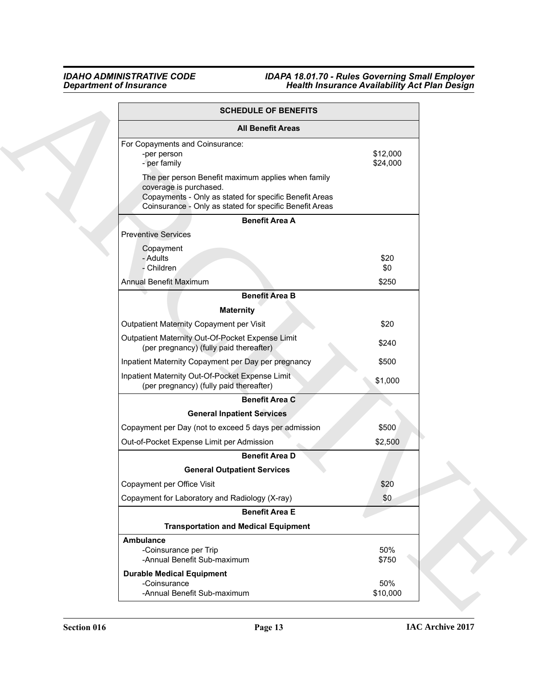| <b>SCHEDULE OF BENEFITS</b>                                                                                                                                                                       |                      |
|---------------------------------------------------------------------------------------------------------------------------------------------------------------------------------------------------|----------------------|
| <b>All Benefit Areas</b>                                                                                                                                                                          |                      |
| For Copayments and Coinsurance:<br>-per person<br>- per family                                                                                                                                    | \$12,000<br>\$24,000 |
| The per person Benefit maximum applies when family<br>coverage is purchased.<br>Copayments - Only as stated for specific Benefit Areas<br>Coinsurance - Only as stated for specific Benefit Areas |                      |
| <b>Benefit Area A</b>                                                                                                                                                                             |                      |
| <b>Preventive Services</b>                                                                                                                                                                        |                      |
| Copayment<br>- Adults<br>- Children                                                                                                                                                               | \$20<br>\$0          |
| <b>Annual Benefit Maximum</b>                                                                                                                                                                     | \$250                |
| <b>Benefit Area B</b>                                                                                                                                                                             |                      |
| <b>Maternity</b>                                                                                                                                                                                  |                      |
| Outpatient Maternity Copayment per Visit                                                                                                                                                          | \$20                 |
| Outpatient Maternity Out-Of-Pocket Expense Limit<br>(per pregnancy) (fully paid thereafter)                                                                                                       | \$240                |
| Inpatient Maternity Copayment per Day per pregnancy                                                                                                                                               | \$500                |
| Inpatient Maternity Out-Of-Pocket Expense Limit<br>(per pregnancy) (fully paid thereafter)                                                                                                        | \$1,000              |
| <b>Benefit Area C</b>                                                                                                                                                                             |                      |
| <b>General Inpatient Services</b>                                                                                                                                                                 |                      |
| Copayment per Day (not to exceed 5 days per admission                                                                                                                                             | \$500                |
| Out-of-Pocket Expense Limit per Admission                                                                                                                                                         | \$2,500              |
| <b>Benefit Area D</b>                                                                                                                                                                             |                      |
| <b>General Outpatient Services</b>                                                                                                                                                                |                      |
| Copayment per Office Visit                                                                                                                                                                        | \$20                 |
| Copayment for Laboratory and Radiology (X-ray)                                                                                                                                                    | \$0                  |
| <b>Benefit Area E</b>                                                                                                                                                                             |                      |
| <b>Transportation and Medical Equipment</b>                                                                                                                                                       |                      |
| Ambulance<br>-Coinsurance per Trip<br>-Annual Benefit Sub-maximum                                                                                                                                 | 50%<br>\$750         |
| <b>Durable Medical Equipment</b><br>-Coinsurance                                                                                                                                                  | 50%                  |
| -Annual Benefit Sub-maximum                                                                                                                                                                       | \$10,000             |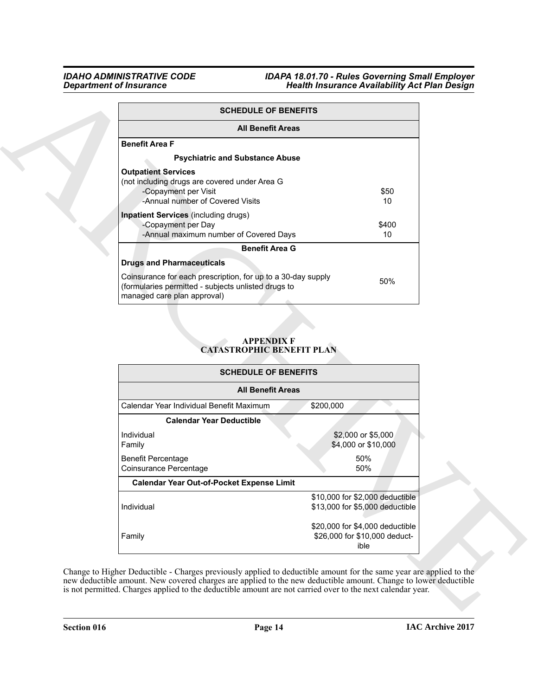|                                                                                                                                                                                                            | <b>SCHEDULE OF BENEFITS</b>                                        |                          |
|------------------------------------------------------------------------------------------------------------------------------------------------------------------------------------------------------------|--------------------------------------------------------------------|--------------------------|
|                                                                                                                                                                                                            | <b>All Benefit Areas</b>                                           |                          |
| <b>Benefit Area F</b><br><b>Psychiatric and Substance Abuse</b><br><b>Outpatient Services</b><br>(not including drugs are covered under Area G<br>-Copayment per Visit<br>-Annual number of Covered Visits |                                                                    | \$50<br>10 <sup>°</sup>  |
| <b>Inpatient Services</b> (including drugs)<br>-Copayment per Day<br>-Annual maximum number of Covered Days                                                                                                |                                                                    | \$400<br>10 <sup>°</sup> |
| <b>Drugs and Pharmaceuticals</b>                                                                                                                                                                           | <b>Benefit Area G</b>                                              |                          |
| Coinsurance for each prescription, for up to a 30-day supply<br>(formularies permitted - subjects unlisted drugs to<br>managed care plan approval)                                                         |                                                                    | 50%                      |
|                                                                                                                                                                                                            | <b>APPENDIX F</b>                                                  |                          |
|                                                                                                                                                                                                            | <b>CATASTROPHIC BENEFIT PLAN</b><br><b>SCHEDULE OF BENEFITS</b>    |                          |
| <b>All Benefit Areas</b>                                                                                                                                                                                   |                                                                    |                          |
| Calendar Year Individual Benefit Maximum                                                                                                                                                                   | \$200,000                                                          |                          |
| <b>Calendar Year Deductible</b>                                                                                                                                                                            |                                                                    |                          |
| Individual<br>Family                                                                                                                                                                                       | \$2,000 or \$5,000<br>\$4,000 or \$10,000                          |                          |
| <b>Benefit Percentage</b><br>Coinsurance Percentage                                                                                                                                                        | 50%<br>50%                                                         |                          |
| Calendar Year Out-of-Pocket Expense Limit                                                                                                                                                                  |                                                                    |                          |
| Individual                                                                                                                                                                                                 | \$10,000 for \$2,000 deductible<br>\$13,000 for \$5,000 deductible |                          |

### <span id="page-13-0"></span>**APPENDIX F CATASTROPHIC BENEFIT PLAN**

| <b>SCHEDULE OF BENEFITS</b>                         |                                                                          |
|-----------------------------------------------------|--------------------------------------------------------------------------|
| <b>All Benefit Areas</b>                            |                                                                          |
| Calendar Year Individual Benefit Maximum            | \$200,000                                                                |
| <b>Calendar Year Deductible</b>                     |                                                                          |
| Individual<br>Family                                | \$2,000 or \$5,000<br>\$4,000 or \$10,000                                |
| <b>Benefit Percentage</b><br>Coinsurance Percentage | 50%<br>50%                                                               |
| <b>Calendar Year Out-of-Pocket Expense Limit</b>    |                                                                          |
| Individual                                          | \$10,000 for \$2,000 deductible<br>\$13,000 for \$5,000 deductible       |
| Family                                              | \$20,000 for \$4,000 deductible<br>\$26,000 for \$10,000 deduct-<br>ible |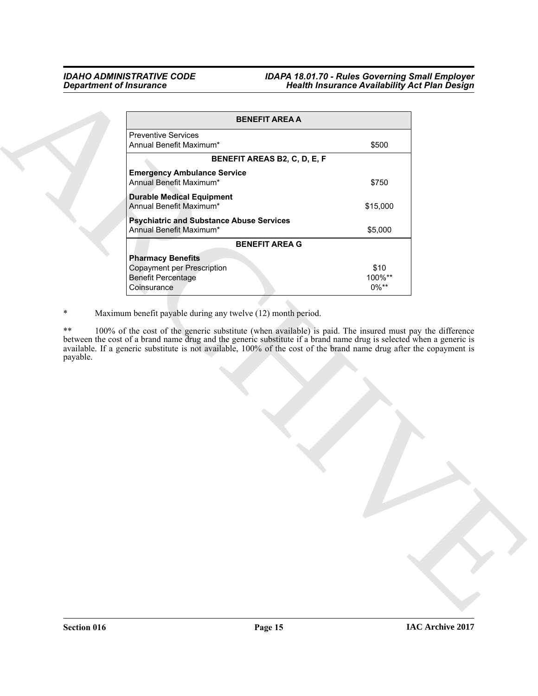|          | <b>BENEFIT AREA A</b>                                                                                                                                                                                                                                                                                                                                                                                                  |                |
|----------|------------------------------------------------------------------------------------------------------------------------------------------------------------------------------------------------------------------------------------------------------------------------------------------------------------------------------------------------------------------------------------------------------------------------|----------------|
|          | <b>Preventive Services</b><br>Annual Benefit Maximum*                                                                                                                                                                                                                                                                                                                                                                  | \$500          |
|          | BENEFIT AREAS B2, C, D, E, F                                                                                                                                                                                                                                                                                                                                                                                           |                |
|          | <b>Emergency Ambulance Service</b><br>Annual Benefit Maximum*                                                                                                                                                                                                                                                                                                                                                          | \$750          |
|          | <b>Durable Medical Equipment</b><br>Annual Benefit Maximum*                                                                                                                                                                                                                                                                                                                                                            | \$15,000       |
|          | <b>Psychiatric and Substance Abuse Services</b><br>Annual Benefit Maximum*                                                                                                                                                                                                                                                                                                                                             | \$5,000        |
|          | <b>BENEFIT AREA G</b>                                                                                                                                                                                                                                                                                                                                                                                                  |                |
|          |                                                                                                                                                                                                                                                                                                                                                                                                                        |                |
|          | <b>Pharmacy Benefits</b>                                                                                                                                                                                                                                                                                                                                                                                               |                |
|          | <b>Copayment per Prescription</b><br><b>Benefit Percentage</b>                                                                                                                                                                                                                                                                                                                                                         | \$10<br>100%** |
|          | Coinsurance                                                                                                                                                                                                                                                                                                                                                                                                            | $0\%**$        |
|          | Maximum benefit payable during any twelve (12) month period.<br>100% of the cost of the generic substitute (when available) is paid. The insured must pay the difference<br>between the cost of a brand name drug and the generic substitute if a brand name drug is selected when a generic is<br>available. If a generic substitute is not available, 100% of the cost of the brand name drug after the copayment is |                |
|          |                                                                                                                                                                                                                                                                                                                                                                                                                        |                |
| payable. |                                                                                                                                                                                                                                                                                                                                                                                                                        |                |
|          |                                                                                                                                                                                                                                                                                                                                                                                                                        |                |